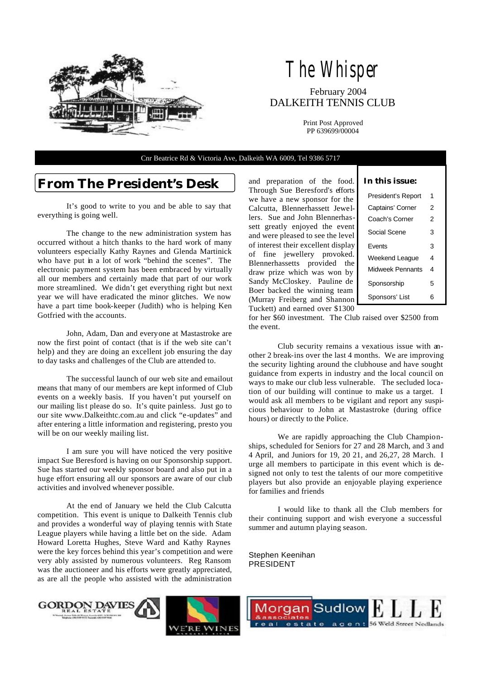

## The Whisper February 2004 DALKEITH TENNIS CLUB

Print Post Approved PP 639699/00004

Cnr Beatrice Rd & Victoria Ave, Dalkeith WA 6009, Tel 9386 5717

### **From The President's Desk**

 It's good to write to you and be able to say that everything is going well.

 The change to the new administration system has occurred without a hitch thanks to the hard work of many volunteers especially Kathy Raynes and Glenda Martinick who have put in a lot of work "behind the scenes". The electronic payment system has been embraced by virtually all our members and certainly made that part of our work more streamlined. We didn't get everything right but next year we will have eradicated the minor glitches. We now have a part time book-keeper (Judith) who is helping Ken Gotfried with the accounts.

 John, Adam, Dan and everyone at Mastastroke are now the first point of contact (that is if the web site can't help) and they are doing an excellent job ensuring the day to day tasks and challenges of the Club are attended to.

 The successful launch of our web site and emailout means that many of our members are kept informed of Club events on a weekly basis. If you haven't put yourself on our mailing list please do so. It's quite painless. Just go to our site www.Dalkeithtc.com.au and click "e-updates" and after entering a little information and registering, presto you will be on our weekly mailing list.

 I am sure you will have noticed the very positive impact Sue Beresford is having on our Sponsorship support. Sue has started our weekly sponsor board and also put in a huge effort ensuring all our sponsors are aware of our club activities and involved whenever possible.

 At the end of January we held the Club Calcutta competition. This event is unique to Dalkeith Tennis club and provides a wonderful way of playing tennis with State League players while having a little bet on the side. Adam Howard Loretta Hughes, Steve Ward and Kathy Raynes were the key forces behind this year's competition and were very ably assisted by numerous volunteers. Reg Ransom was the auctioneer and his efforts were greatly appreciated, as are all the people who assisted with the administration

and preparation of the food. Through Sue Beresford's efforts we have a new sponsor for the Calcutta, Blennerhassett Jewellers. Sue and John Blennerhassett greatly enjoyed the event and were pleased to see the level of interest their excellent display of fine jewellery provoked. Blennerhassetts provided the draw prize which was won by Sandy McCloskey. Pauline de Boer backed the winning team (Murray Freiberg and Shannon Tuckett) and earned over \$1300

|  | In this issue: |
|--|----------------|
|  |                |

| President's Report | 1 |
|--------------------|---|
| Captains' Corner   | 2 |
| Coach's Corner     | 2 |
| Social Scene       | 3 |
| <b>Fvents</b>      | 3 |
| Weekend League     | 4 |
| Midweek Pennants   | 4 |
| Sponsorship        | 5 |
| Sponsors' List     | 6 |

for her \$60 investment. The Club raised over \$2500 from the event.

 Club security remains a vexatious issue with another 2 break-ins over the last 4 months. We are improving the security lighting around the clubhouse and have sought guidance from experts in industry and the local council on ways to make our club less vulnerable. The secluded location of our building will continue to make us a target. I would ask all members to be vigilant and report any suspicious behaviour to John at Mastastroke (during office hours) or directly to the Police.

 We are rapidly approaching the Club Championships, scheduled for Seniors for 27 and 28 March, and 3 and 4 April, and Juniors for 19, 20 21, and 26,27, 28 March. I urge all members to participate in this event which is designed not only to test the talents of our more competitive players but also provide an enjoyable playing experience for families and friends

 I would like to thank all the Club members for their continuing support and wish everyone a successful summer and autumn playing season.

Stephen Keenihan PRESIDENT

**ORDON DAVIES** 



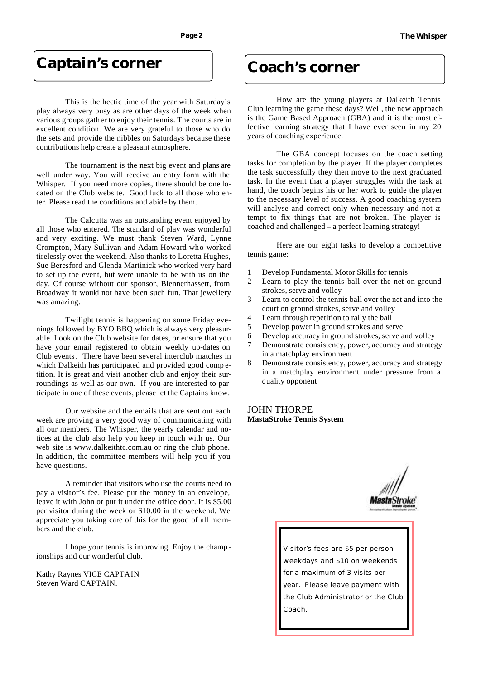### **Captain's corner**

 This is the hectic time of the year with Saturday's play always very busy as are other days of the week when various groups gather to enjoy their tennis. The courts are in excellent condition. We are very grateful to those who do the sets and provide the nibbles on Saturdays because these contributions help create a pleasant atmosphere.

 The tournament is the next big event and plans are well under way. You will receive an entry form with the Whisper. If you need more copies, there should be one located on the Club website. Good luck to all those who enter. Please read the conditions and abide by them.

 The Calcutta was an outstanding event enjoyed by all those who entered. The standard of play was wonderful and very exciting. We must thank Steven Ward, Lynne Crompton, Mary Sullivan and Adam Howard who worked tirelessly over the weekend. Also thanks to Loretta Hughes, Sue Beresford and Glenda Martinick who worked very hard to set up the event, but were unable to be with us on the day. Of course without our sponsor, Blennerhassett, from Broadway it would not have been such fun. That jewellery was amazing.

 Twilight tennis is happening on some Friday evenings followed by BYO BBQ which is always very pleasurable. Look on the Club website for dates, or ensure that you have your email registered to obtain weekly up-dates on Club events. There have been several interclub matches in which Dalkeith has participated and provided good comp etition. It is great and visit another club and enjoy their surroundings as well as our own. If you are interested to participate in one of these events, please let the Captains know.

 Our website and the emails that are sent out each week are proving a very good way of communicating with all our members. The Whisper, the yearly calendar and notices at the club also help you keep in touch with us. Our web site is www.dalkeithtc.com.au or ring the club phone. In addition, the committee members will help you if you have questions.

 A reminder that visitors who use the courts need to pay a visitor's fee. Please put the money in an envelope, leave it with John or put it under the office door. It is \$5.00 per visitor during the week or \$10.00 in the weekend. We appreciate you taking care of this for the good of all me mbers and the club.

 I hope your tennis is improving. Enjoy the champ ionships and our wonderful club.

Kathy Raynes VICE CAPTAIN Steven Ward CAPTAIN.

### **Coach's corner**

 How are the young players at Dalkeith Tennis Club learning the game these days? Well, the new approach is the Game Based Approach (GBA) and it is the most effective learning strategy that I have ever seen in my 20 years of coaching experience.

 The GBA concept focuses on the coach setting tasks for completion by the player. If the player completes the task successfully they then move to the next graduated task. In the event that a player struggles with the task at hand, the coach begins his or her work to guide the player to the necessary level of success. A good coaching system will analyse and correct only when necessary and not attempt to fix things that are not broken. The player is coached and challenged – a perfect learning strategy!

 Here are our eight tasks to develop a competitive tennis game:

- 1 Develop Fundamental Motor Skills for tennis
- 2 Learn to play the tennis ball over the net on ground strokes, serve and volley
- 3 Learn to control the tennis ball over the net and into the court on ground strokes, serve and volley
- 4 Learn through repetition to rally the ball
- 5 Develop power in ground strokes and serve
- 6 Develop accuracy in ground strokes, serve and volley
- 7 Demonstrate consistency, power, accuracy and strategy in a matchplay environment
- 8 Demonstrate consistency, power, accuracy and strategy in a matchplay environment under pressure from a quality opponent

#### JOHN THORPE **MastaStroke Tennis System**



Visitor's fees are \$5 per person weekdays and \$10 on weekends for a maximum of 3 visits per year. Please leave payment with the Club Administrator or the Club Coach.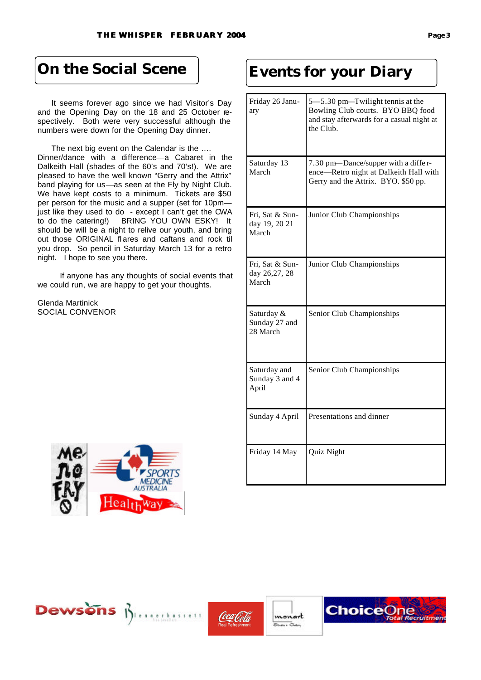It seems forever ago since we had Visitor's Day and the Opening Day on the 18 and 25 October respectively. Both were very successful although the numbers were down for the Opening Day dinner.

 The next big event on the Calendar is the …. Dinner/dance with a difference—a Cabaret in the Dalkeith Hall (shades of the 60's and 70's!). We are pleased to have the well known "Gerry and the Attrix" band playing for us—as seen at the Fly by Night Club. We have kept costs to a minimum. Tickets are \$50 per person for the music and a supper (set for 10pm just like they used to do - except I can't get the CWA to do the catering!) BRING YOU OWN ESKY! It should be will be a night to relive our youth, and bring out those ORIGINAL flares and caftans and rock til you drop. So pencil in Saturday March 13 for a retro night. I hope to see you there.

 If anyone has any thoughts of social events that we could run, we are happy to get your thoughts.

Glenda Martinick SOCIAL CONVENOR



# **On the Social Scene Events for your Diary**

| Friday 26 Janu-<br>ary                    | 5-5.30 pm-Twilight tennis at the<br>Bowling Club courts. BYO BBQ food<br>and stay afterwards for a casual night at<br>the Club. |
|-------------------------------------------|---------------------------------------------------------------------------------------------------------------------------------|
| Saturday 13<br>March                      | 7.30 pm-Dance/supper with a differ-<br>ence-Retro night at Dalkeith Hall with<br>Gerry and the Attrix. BYO. \$50 pp.            |
| Fri, Sat & Sun-<br>day 19, 20 21<br>March | Junior Club Championships                                                                                                       |
| Fri, Sat & Sun-<br>day 26,27, 28<br>March | Junior Club Championships                                                                                                       |
| Saturday &<br>Sunday 27 and<br>28 March   | Senior Club Championships                                                                                                       |
| Saturday and<br>Sunday 3 and 4<br>April   | Senior Club Championships                                                                                                       |
| Sunday 4 April                            | Presentations and dinner                                                                                                        |
| Friday 14 May                             | Quiz Night                                                                                                                      |







monart  $\overline{a}$ 

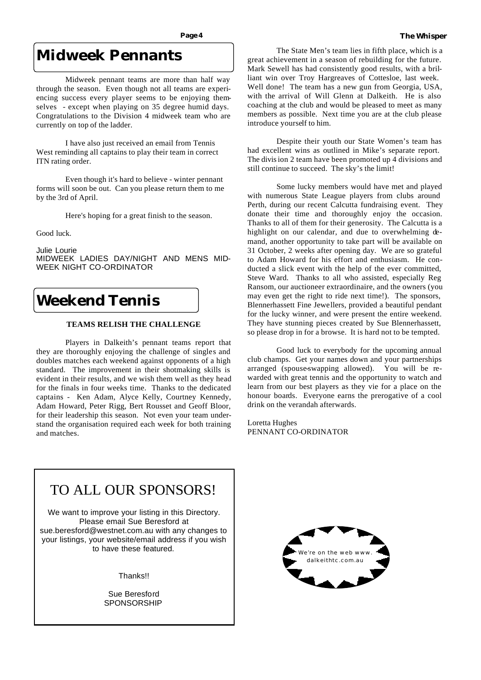### **Midweek Pennants**

 Midweek pennant teams are more than half way through the season. Even though not all teams are experiencing success every player seems to be enjoying themselves - except when playing on 35 degree humid days. Congratulations to the Division 4 midweek team who are currently on top of the ladder.

 I have also just received an email from Tennis West reminding all captains to play their team in correct ITN rating order.

 Even though it's hard to believe - winter pennant forms will soon be out. Can you please return them to me by the 3rd of April.

Here's hoping for a great finish to the season.

Good luck.

Julie Lourie MIDWEEK LADIES DAY/NIGHT AND MENS MID-WEEK NIGHT CO-ORDINATOR

## **Weekend Tennis**

#### **TEAMS RELISH THE CHALLENGE**

 Players in Dalkeith's pennant teams report that they are thoroughly enjoying the challenge of singles and doubles matches each weekend against opponents of a high standard. The improvement in their shotmaking skills is evident in their results, and we wish them well as they head for the finals in four weeks time. Thanks to the dedicated captains - Ken Adam, Alyce Kelly, Courtney Kennedy, Adam Howard, Peter Rigg, Bert Rousset and Geoff Bloor, for their leadership this season. Not even your team understand the organisation required each week for both training and matches.

 The State Men's team lies in fifth place, which is a great achievement in a season of rebuilding for the future. Mark Sewell has had consistently good results, with a brilliant win over Troy Hargreaves of Cottesloe, last week. Well done! The team has a new gun from Georgia, USA, with the arrival of Will Glenn at Dalkeith. He is also coaching at the club and would be pleased to meet as many members as possible. Next time you are at the club please

 Despite their youth our State Women's team has had excellent wins as outlined in Mike's separate report. The division 2 team have been promoted up 4 divisions and still continue to succeed. The sky's the limit!

introduce yourself to him.

 Some lucky members would have met and played with numerous State League players from clubs around Perth, during our recent Calcutta fundraising event. They donate their time and thoroughly enjoy the occasion. Thanks to all of them for their generosity. The Calcutta is a highlight on our calendar, and due to overwhelming demand, another opportunity to take part will be available on 31 October, 2 weeks after opening day. We are so grateful to Adam Howard for his effort and enthusiasm. He conducted a slick event with the help of the ever committed, Steve Ward. Thanks to all who assisted, especially Reg Ransom, our auctioneer extraordinaire, and the owners (you may even get the right to ride next time!). The sponsors, Blennerhassett Fine Jewellers, provided a beautiful pendant for the lucky winner, and were present the entire weekend. They have stunning pieces created by Sue Blennerhassett, so please drop in for a browse. It is hard not to be tempted.

 Good luck to everybody for the upcoming annual club champs. Get your names down and your partnerships arranged (spouse-swapping allowed). You will be rewarded with great tennis and the opportunity to watch and learn from our best players as they vie for a place on the honour boards. Everyone earns the prerogative of a cool drink on the verandah afterwards.

Loretta Hughes PENNANT CO-ORDINATOR



Sue Beresford **SPONSORSHIP** 

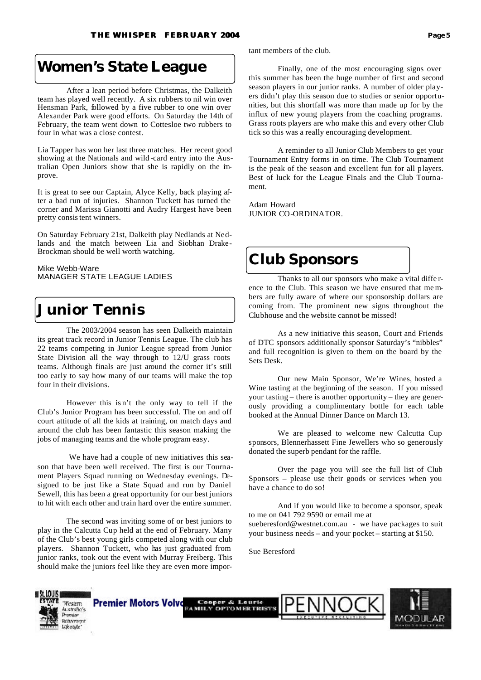### **Women's State League**

 After a lean period before Christmas, the Dalkeith team has played well recently. A six rubbers to nil win over Hensman Park, followed by a five rubber to one win over Alexander Park were good efforts. On Saturday the 14th of February, the team went down to Cottesloe two rubbers to four in what was a close contest.

Lia Tapper has won her last three matches. Her recent good showing at the Nationals and wild -card entry into the Australian Open Juniors show that she is rapidly on the improve.

It is great to see our Captain, Alyce Kelly, back playing after a bad run of injuries. Shannon Tuckett has turned the corner and Marissa Gianotti and Audry Hargest have been pretty consistent winners.

On Saturday February 21st, Dalkeith play Nedlands at Nedlands and the match between Lia and Siobhan Drake-Brockman should be well worth watching.

Mike Webb-Ware MANAGER STATE LEAGUE LADIES

### **Junior Tennis**

 The 2003/2004 season has seen Dalkeith maintain its great track record in Junior Tennis League. The club has 22 teams competing in Junior League spread from Junior State Division all the way through to 12/U grass roots teams. Although finals are just around the corner it's still too early to say how many of our teams will make the top four in their divisions.

 However this is n't the only way to tell if the Club's Junior Program has been successful. The on and off court attitude of all the kids at training, on match days and around the club has been fantastic this season making the jobs of managing teams and the whole program easy.

 We have had a couple of new initiatives this season that have been well received. The first is our Tournament Players Squad running on Wednesday evenings. Designed to be just like a State Squad and run by Daniel Sewell, this has been a great opportunity for our best juniors to hit with each other and train hard over the entire summer.

 The second was inviting some of or best juniors to play in the Calcutta Cup held at the end of February. Many of the Club's best young girls competed along with our club players. Shannon Tuckett, who has just graduated from junior ranks, took out the event with Murray Freiberg. This should make the juniors feel like they are even more important members of the club.

 Finally, one of the most encouraging signs over this summer has been the huge number of first and second season players in our junior ranks. A number of older players didn't play this season due to studies or senior opportunities, but this shortfall was more than made up for by the influx of new young players from the coaching programs. Grass roots players are who make this and every other Club tick so this was a really encouraging development.

 A reminder to all Junior Club Members to get your Tournament Entry forms in on time. The Club Tournament is the peak of the season and excellent fun for all players. Best of luck for the League Finals and the Club Tournament.

Adam Howard JUNIOR CO-ORDINATOR.

### **Club Sponsors**

 Thanks to all our sponsors who make a vital diffe rence to the Club. This season we have ensured that me mbers are fully aware of where our sponsorship dollars are coming from. The prominent new signs throughout the Clubhouse and the website cannot be missed!

 As a new initiative this season, Court and Friends of DTC sponsors additionally sponsor Saturday's "nibbles" and full recognition is given to them on the board by the Sets Desk.

 Our new Main Sponsor, We're Wines, hosted a Wine tasting at the beginning of the season. If you missed your tasting – there is another opportunity – they are generously providing a complimentary bottle for each table booked at the Annual Dinner Dance on March 13.

 We are pleased to welcome new Calcutta Cup sponsors, Blennerhassett Fine Jewellers who so generously donated the superb pendant for the raffle.

 Over the page you will see the full list of Club Sponsors – please use their goods or services when you have a chance to do so!

 And if you would like to become a sponsor, speak to me on 041 792 9590 or email me at sueberesford@westnet.com.au - we have packages to suit your business needs – and your pocket – starting at \$150.

Sue Beresford